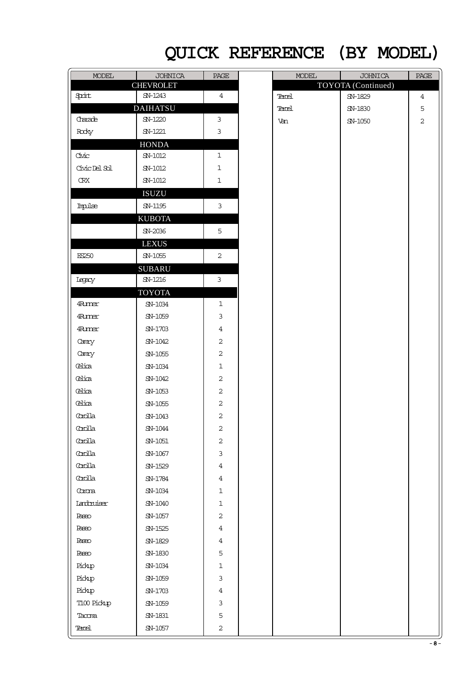## QUICK REFERENCE (BY MODEL)

| <b>MODEL</b>  | <b>JOHNICA</b>         | PAGE           | <b>MODEL</b> | <b>JOHNICA</b>     | PAGE           |
|---------------|------------------------|----------------|--------------|--------------------|----------------|
|               | <b>CHEVROLET</b>       |                |              | TOYOTA (Continued) |                |
| Sprint        | SN-1243                | $\overline{4}$ | Tercel       | SN-1829            | $\overline{4}$ |
|               | <b>DAIHATSU</b>        |                | Tercel       | SN-1830            | 5              |
| Chanade       | SN-1220                | 3              | Van          | SN-1050            | $\overline{2}$ |
| Rody          | SN-1221                | $\mathbf{3}$   |              |                    |                |
|               | <b>HONDA</b>           |                |              |                    |                |
| Civic         | $SN-1012$              | $\mathbf 1$    |              |                    |                |
| Civic Del Sol | SN-1012                | $\mathbf 1$    |              |                    |                |
| ${\rm CRX}$   | $SN-1012$              | $\mathbf{1}$   |              |                    |                |
|               | <b>ISUZU</b>           |                |              |                    |                |
| Impulse       | SN-1195                | $\mathfrak{Z}$ |              |                    |                |
|               | <b>KUBOTA</b>          |                |              |                    |                |
|               | SN-2036                | 5              |              |                    |                |
|               | <b>LEXUS</b>           |                |              |                    |                |
| ES250         | ${\sf SN}\text{-}1055$ | $\overline{a}$ |              |                    |                |
|               | <b>SUBARU</b>          |                |              |                    |                |
| Iegacy        | SN-1216                | $\mathfrak{Z}$ |              |                    |                |
|               | <b>TOYOTA</b>          |                |              |                    |                |
| <b>Furner</b> | $SN-1034$              | $\mathbf{1}$   |              |                    |                |
| <b>4Runer</b> | SN-1059                | 3              |              |                    |                |
| <b>Furner</b> | SN-1703                | $\overline{4}$ |              |                    |                |
| Camry         | SN-1042                | $\sqrt{2}$     |              |                    |                |
| Camry         | SN-1055                | $\sqrt{2}$     |              |                    |                |
| Celica        | SN-1034                | $\mathbf 1$    |              |                    |                |
| Celica        | SN-1042                | $\overline{c}$ |              |                    |                |
| Celica        | SN-1053                | $\overline{c}$ |              |                    |                |
| Celica        | SN-1055                | $\sqrt{2}$     |              |                    |                |
| Coolla        | SN-1043                | $\overline{c}$ |              |                    |                |
| Coolla        | SN-1044                | 2              |              |                    |                |
| Coolla        | $SN-1051$              | $\overline{c}$ |              |                    |                |
| Coolla        | SN-1067                | 3              |              |                    |                |
| Coolla        | SN-1529                | $\overline{4}$ |              |                    |                |
| Coolla        | SN-1784                | $\overline{4}$ |              |                    |                |
| Corona        | SN-1034                | $\mathbf 1$    |              |                    |                |
| Ianbuiser     | SN-1040                | $\mathbf 1$    |              |                    |                |
| <b>Pageo</b>  | SN-1057                | $\overline{c}$ |              |                    |                |
| <b>Pageo</b>  | SN-1525                | $\overline{4}$ |              |                    |                |
| <b>Pageo</b>  | SN-1829                | $\overline{4}$ |              |                    |                |
| <b>Pageo</b>  | SN-1830                | 5              |              |                    |                |
| Pickp         | ${\rm SN}\text{-}1034$ | $\mathbf 1$    |              |                    |                |
| Pickp         | $SN-1059$              | 3              |              |                    |                |
| Pickp         | SN-1703                | $\overline{4}$ |              |                    |                |
| T100 Pickup   | SN-1059                | $\mathsf{3}$   |              |                    |                |
| Tacoma        | ${\sf SN}\text{-}1831$ | 5              |              |                    |                |
| Tercel        | SN-1057                | $\mathbf{2}$   |              |                    |                |
|               |                        |                |              |                    |                |

| $\texttt{MODEL}$ | <b>JOHNICA</b>     | $\overline{\text{PAGE}}$ |
|------------------|--------------------|--------------------------|
|                  | TOYOTA (Continued) |                          |
| Tercel           | SN-1829            | $\ensuremath{4}$         |
| Tercel           | $SN-1830$          | 5                        |
| Van              | $SN-1050$          | $\overline{c}$           |
|                  |                    |                          |
|                  |                    |                          |
|                  |                    |                          |
|                  |                    |                          |
|                  |                    |                          |
|                  |                    |                          |
|                  |                    |                          |
|                  |                    |                          |
|                  |                    |                          |
|                  |                    |                          |
|                  |                    |                          |
|                  |                    |                          |
|                  |                    |                          |
|                  |                    |                          |
|                  |                    |                          |
|                  |                    |                          |
|                  |                    |                          |
|                  |                    |                          |
|                  |                    |                          |
|                  |                    |                          |
|                  |                    |                          |
|                  |                    |                          |
|                  |                    |                          |
|                  |                    |                          |
|                  |                    |                          |
|                  |                    |                          |
|                  |                    |                          |
|                  |                    |                          |
|                  |                    |                          |
|                  |                    |                          |
|                  |                    |                          |
|                  |                    |                          |
|                  |                    |                          |
|                  |                    |                          |
|                  |                    |                          |
|                  |                    |                          |
|                  |                    |                          |
|                  |                    |                          |
|                  |                    |                          |
|                  |                    |                          |
|                  |                    |                          |
|                  |                    |                          |
|                  |                    |                          |